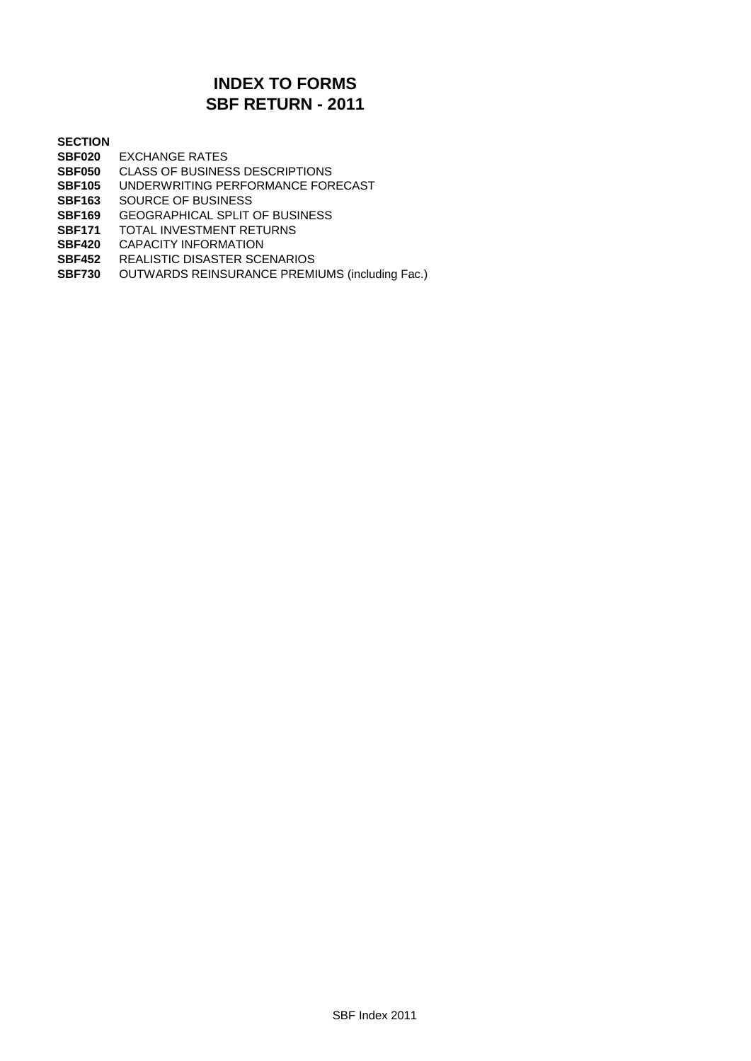## **SBF RETURN - 2011 INDEX TO FORMS**

#### **SECTION**

- **SBF020** EXCHANGE RATES
- **SBF050** CLASS OF BUSINESS DESCRIPTIONS
- **SBF105** UNDERWRITING PERFORMANCE FORECAST
- **SBF163** SOURCE OF BUSINESS
- **SBF169** GEOGRAPHICAL SPLIT OF BUSINESS
- **SBF171** TOTAL INVESTMENT RETURNS
- **SBF420** CAPACITY INFORMATION
- **SBF452** REALISTIC DISASTER SCENARIOS
- **SBF730** OUTWARDS REINSURANCE PREMIUMS (including Fac.)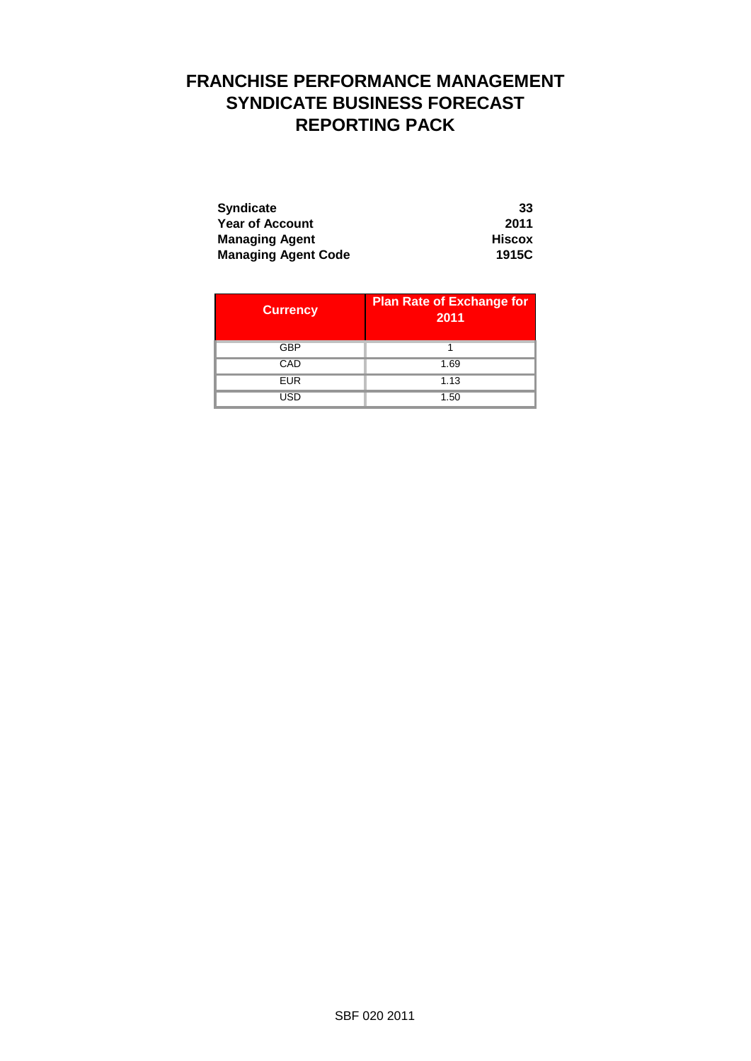## **FRANCHISE PERFORMANCE MANAGEMENT SYNDICATE BUSINESS FORECAST REPORTING PACK**

| <b>Syndicate</b>           | 33            |
|----------------------------|---------------|
| <b>Year of Account</b>     | 2011          |
| <b>Managing Agent</b>      | <b>Hiscox</b> |
| <b>Managing Agent Code</b> | 1915C         |

| <b>Currency</b> | <b>Plan Rate of Exchange for</b><br>2011 |
|-----------------|------------------------------------------|
| GBP             |                                          |
| CAD             | 1.69                                     |
| <b>EUR</b>      | 1.13                                     |
| USD             | 1.50                                     |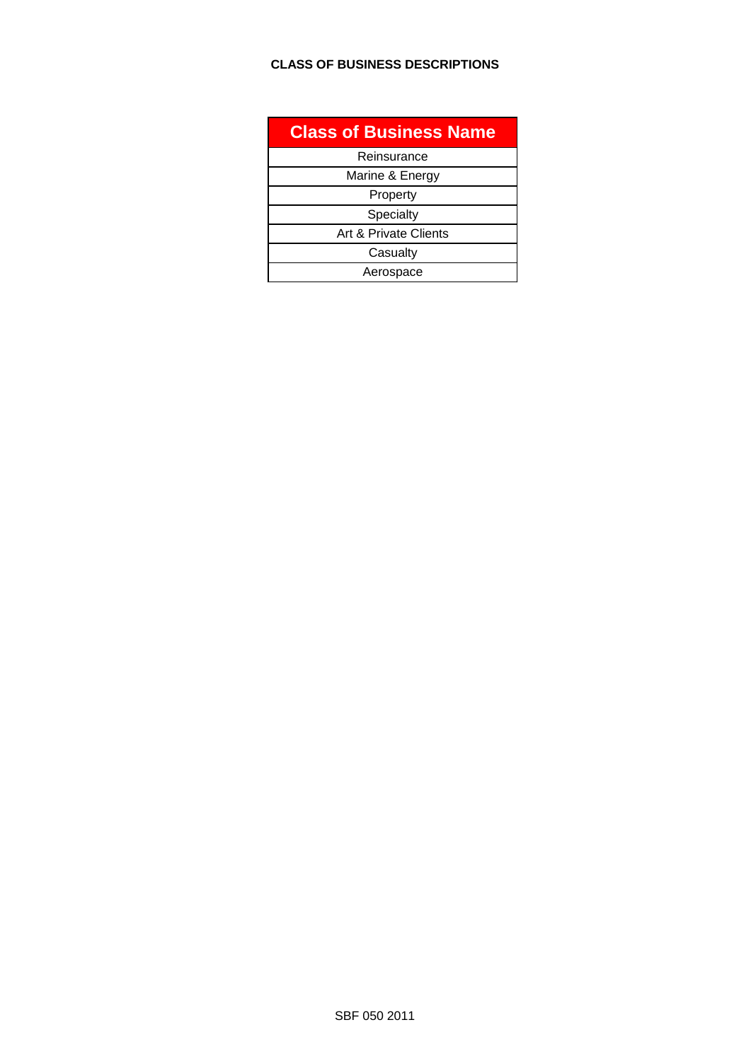#### **CLASS OF BUSINESS DESCRIPTIONS**

| <b>Class of Business Name</b> |
|-------------------------------|
| Reinsurance                   |
| Marine & Energy               |
| Property                      |
| Specialty                     |
| Art & Private Clients         |
| Casualty                      |
| Aerospace                     |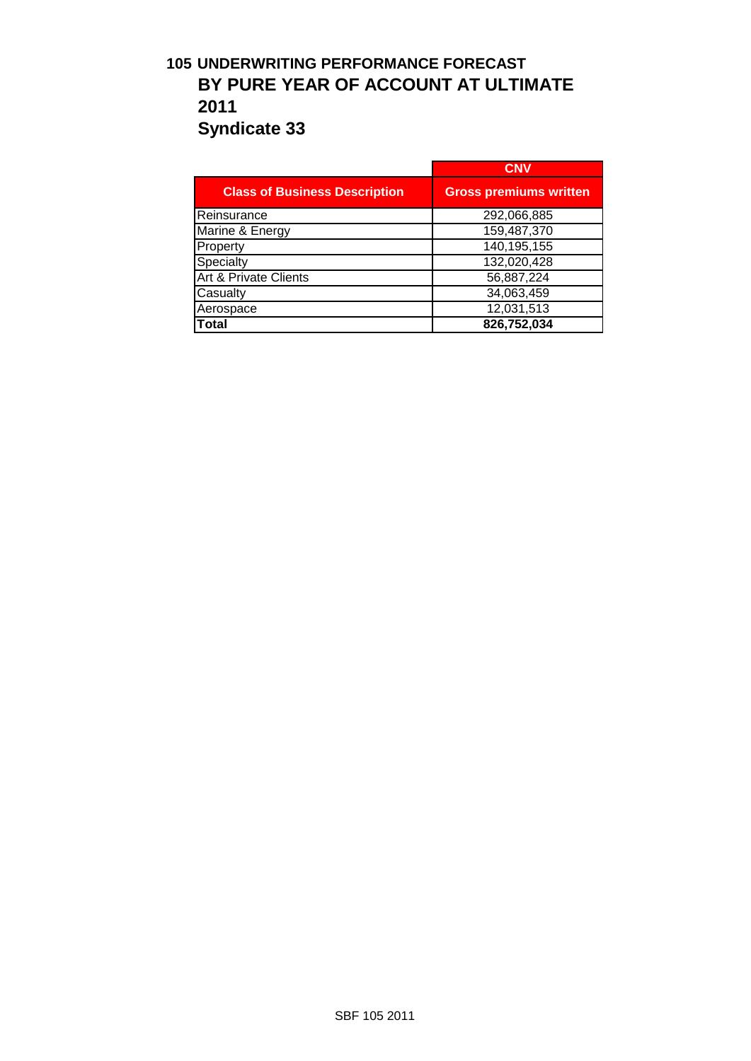## **105 UNDERWRITING PERFORMANCE FORECAST BY PURE YEAR OF ACCOUNT AT ULTIMATE 2011 Syndicate 33**

|                                      | <b>CNV</b>                    |
|--------------------------------------|-------------------------------|
| <b>Class of Business Description</b> | <b>Gross premiums written</b> |
| Reinsurance                          | 292,066,885                   |
| Marine & Energy                      | 159,487,370                   |
| Property                             | 140,195,155                   |
| Specialty                            | 132,020,428                   |
| <b>Art &amp; Private Clients</b>     | 56,887,224                    |
| Casualty                             | 34,063,459                    |
| Aerospace                            | 12,031,513                    |
| Total                                | 826,752,034                   |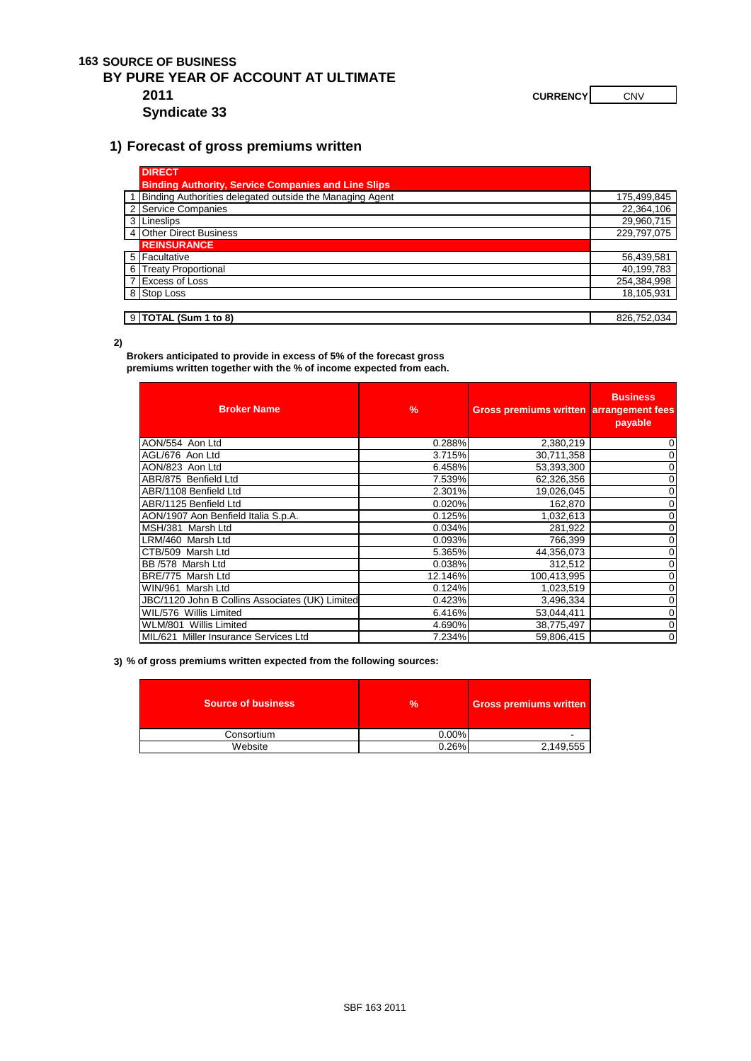#### **163 SOURCE OF BUSINESS**

## **BY PURE YEAR OF ACCOUNT AT ULTIMATE**

**Syndicate 33**

**2011 CURRENCY CURRENCY CURRENCY** 

#### **1) Forecast of gross premiums written**

| <b>DIRECT</b>                                              |             |
|------------------------------------------------------------|-------------|
| <b>Binding Authority, Service Companies and Line Slips</b> |             |
| Binding Authorities delegated outside the Managing Agent   | 175,499,845 |
| 2 Service Companies                                        | 22,364,106  |
| 3 Lineslips                                                | 29,960,715  |
| 4 Other Direct Business                                    | 229,797,075 |
| <b>REINSURANCE</b>                                         |             |
| 5 Facultative                                              | 56,439,581  |
| 6 Treaty Proportional                                      | 40,199,783  |
| 7 Excess of Loss                                           | 254,384,998 |
| 8 Stop Loss                                                | 18,105,931  |
|                                                            |             |
| $9$ TOTAL (Sum 1 to 8)                                     | 826.752.034 |

**2)**

**Brokers anticipated to provide in excess of 5% of the forecast gross premiums written together with the % of income expected from each.** 

| <b>Broker Name</b>                              | $\frac{9}{6}$ | Gross premiums written arrangement fees | <b>Business</b><br>payable |
|-------------------------------------------------|---------------|-----------------------------------------|----------------------------|
| AON/554 Aon Ltd                                 | 0.288%        | 2,380,219                               | 0                          |
| AGL/676 Aon Ltd                                 | 3.715%        | 30,711,358                              | 0                          |
| AON/823 Aon Ltd                                 | 6.458%        | 53,393,300                              |                            |
| ABR/875 Benfield Ltd                            | 7.539%        | 62,326,356                              |                            |
| ABR/1108 Benfield Ltd                           | 2.301%        | 19,026,045                              | 0                          |
| ABR/1125 Benfield Ltd                           | 0.020%        | 162,870                                 |                            |
| AON/1907 Aon Benfield Italia S.p.A.             | 0.125%        | 1,032,613                               |                            |
| MSH/381 Marsh Ltd                               | 0.034%        | 281,922                                 |                            |
| LRM/460 Marsh Ltd                               | 0.093%        | 766,399                                 | 0                          |
| CTB/509 Marsh Ltd                               | 5.365%        | 44,356,073                              | 0                          |
| BB /578 Marsh Ltd                               | 0.038%        | 312,512                                 | 0                          |
| BRE/775 Marsh Ltd                               | 12.146%       | 100,413,995                             |                            |
| WIN/961 Marsh Ltd                               | 0.124%        | 1,023,519                               | 0                          |
| JBC/1120 John B Collins Associates (UK) Limited | 0.423%        | 3,496,334                               | 0                          |
| WIL/576 Willis Limited                          | 6.416%        | 53,044,411                              | 0                          |
| WLM/801 Willis Limited                          | 4.690%        | 38,775,497                              | 0                          |
| MIL/621 Miller Insurance Services Ltd           | 7.234%        | 59,806,415                              | $\mathbf 0$                |

**3) % of gross premiums written expected from the following sources:**

| <b>Source of business</b> | $\frac{1}{2}$ | <b>Gross premiums written</b> |
|---------------------------|---------------|-------------------------------|
| Consortium                | 0.00%         |                               |
| Website                   | 0.26%         | 2,149,555                     |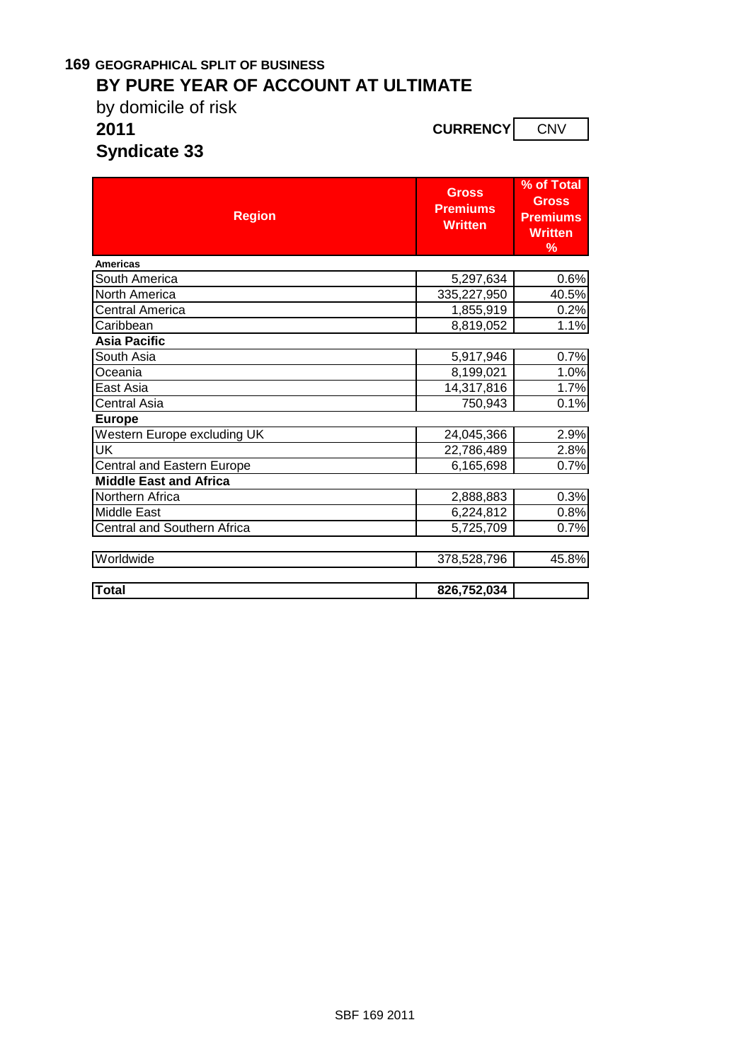# **169 GEOGRAPHICAL SPLIT OF BUSINESS**

# **BY PURE YEAR OF ACCOUNT AT ULTIMATE**

by domicile of risk

**2011 CURRENCY** COURRENCY

**Syndicate 33**

| <b>Region</b>                 | <b>Gross</b><br><b>Premiums</b><br><b>Written</b> | % of Total<br><b>Gross</b><br><b>Premiums</b><br><b>Written</b><br>% |
|-------------------------------|---------------------------------------------------|----------------------------------------------------------------------|
| <b>Americas</b>               |                                                   |                                                                      |
| South America                 | 5,297,634                                         | 0.6%                                                                 |
| <b>North America</b>          | 335,227,950                                       | 40.5%                                                                |
| Central America               | 1,855,919                                         | 0.2%                                                                 |
| Caribbean                     | 8,819,052                                         | 1.1%                                                                 |
| <b>Asia Pacific</b>           |                                                   |                                                                      |
| South Asia                    | 5,917,946                                         | 0.7%                                                                 |
| Oceania                       | 8,199,021                                         | 1.0%                                                                 |
| East Asia                     | 14,317,816                                        | 1.7%                                                                 |
| Central Asia                  | 750,943                                           | 0.1%                                                                 |
| <b>Europe</b>                 |                                                   |                                                                      |
| Western Europe excluding UK   | 24,045,366                                        | 2.9%                                                                 |
| $\overline{\mathsf{UK}}$      | 22,786,489                                        | 2.8%                                                                 |
| Central and Eastern Europe    | 6,165,698                                         | 0.7%                                                                 |
| <b>Middle East and Africa</b> |                                                   |                                                                      |
| Northern Africa               | 2,888,883                                         | 0.3%                                                                 |
| <b>Middle East</b>            | 6,224,812                                         | 0.8%                                                                 |
| Central and Southern Africa   | 5,725,709                                         | 0.7%                                                                 |
| Worldwide                     | 378,528,796                                       | 45.8%                                                                |
| <b>Total</b>                  | 826,752,034                                       |                                                                      |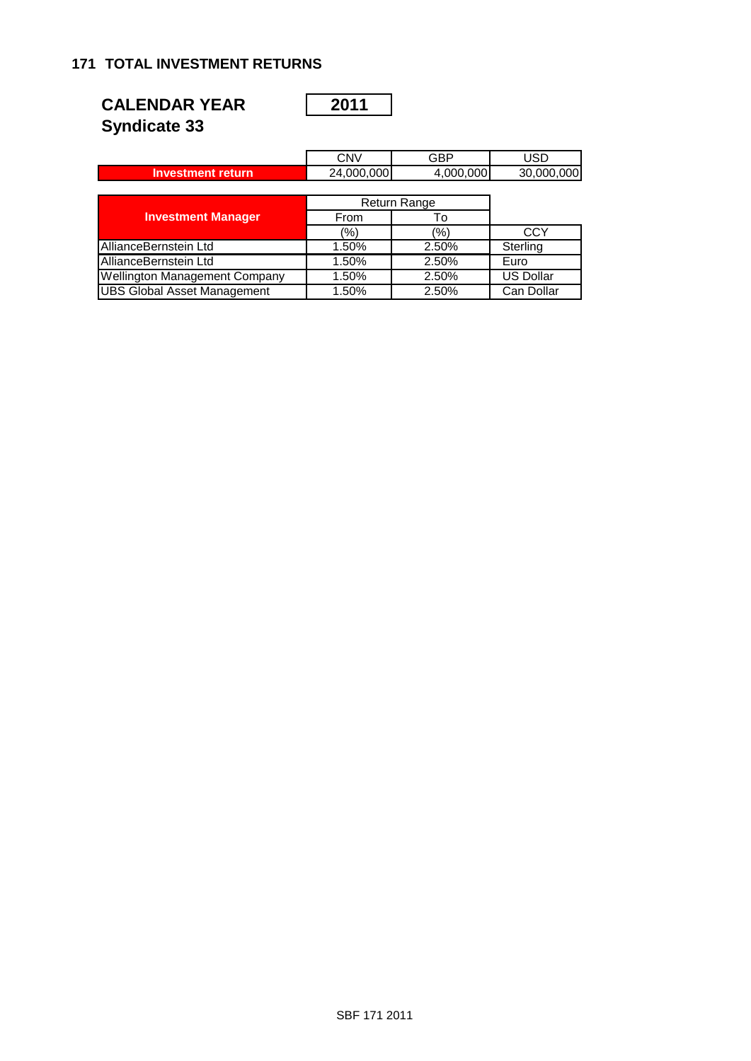### **171 TOTAL INVESTMENT RETURNS**

| <b>CALENDAR YEAR</b> | $\begin{array}{c} \n \text{2011} \\ \n \end{array}$ |
|----------------------|-----------------------------------------------------|
| <b>Syndicate 33</b>  |                                                     |

|                                      | <b>CNV</b> | GBP          | USD              |
|--------------------------------------|------------|--------------|------------------|
| <b>Investment return</b>             | 24,000,000 | 4,000,000    | 30,000,000       |
|                                      |            |              |                  |
|                                      |            | Return Range |                  |
| <b>Investment Manager</b>            | From       | То           |                  |
|                                      | (%)        | (%)          | CCY              |
| AllianceBernstein Ltd                | 1.50%      | 2.50%        | Sterling         |
| AllianceBernstein Ltd                | 1.50%      | 2.50%        | Euro             |
| <b>Wellington Management Company</b> | 1.50%      | 2.50%        | <b>US Dollar</b> |
| <b>UBS Global Asset Management</b>   | 1.50%      | 2.50%        | Can Dollar       |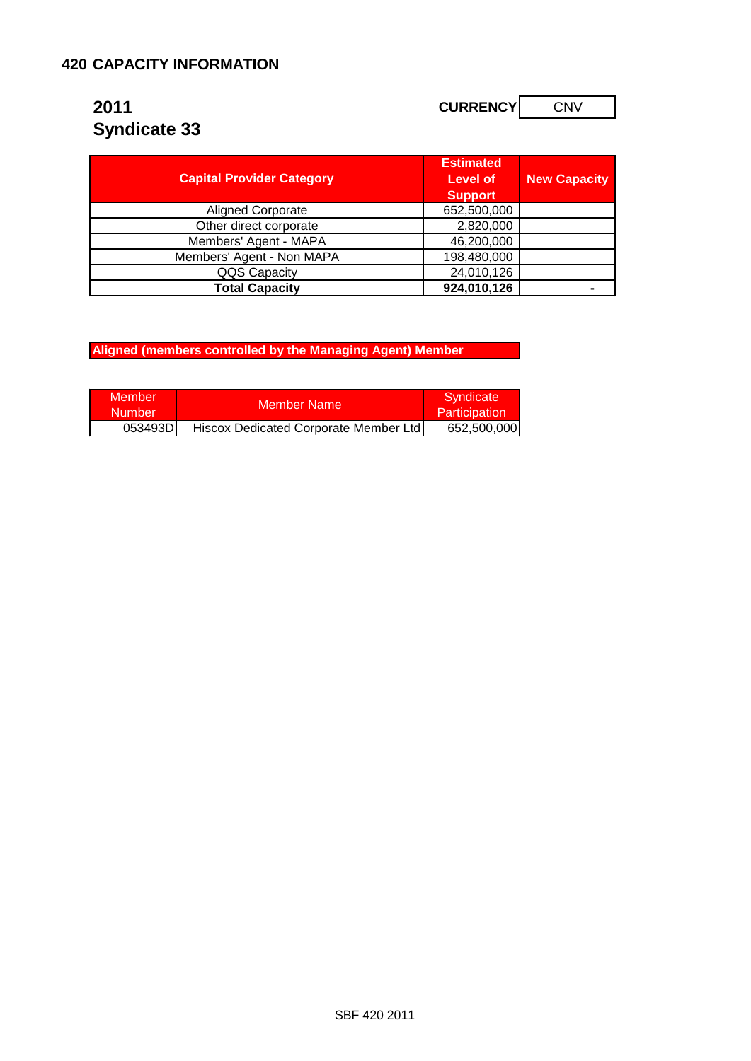# **2011 CURRENCY** CURRENCY CONV **Syndicate 33**

| <b>Capital Provider Category</b> | <b>Estimated</b><br>Level of<br><b>Support</b> | <b>New Capacity</b> |
|----------------------------------|------------------------------------------------|---------------------|
| <b>Aligned Corporate</b>         | 652,500,000                                    |                     |
| Other direct corporate           | 2,820,000                                      |                     |
| Members' Agent - MAPA            | 46,200,000                                     |                     |
| Members' Agent - Non MAPA        | 198,480,000                                    |                     |
| QQS Capacity                     | 24,010,126                                     |                     |
| <b>Total Capacity</b>            | 924,010,126                                    |                     |

**Aligned (members controlled by the Managing Agent) Member** 

| Member<br><b>Number</b> | Member Name                           | Syndicate<br><b>Participation</b> |
|-------------------------|---------------------------------------|-----------------------------------|
| 053493DI                | Hiscox Dedicated Corporate Member Ltd | 652,500,000                       |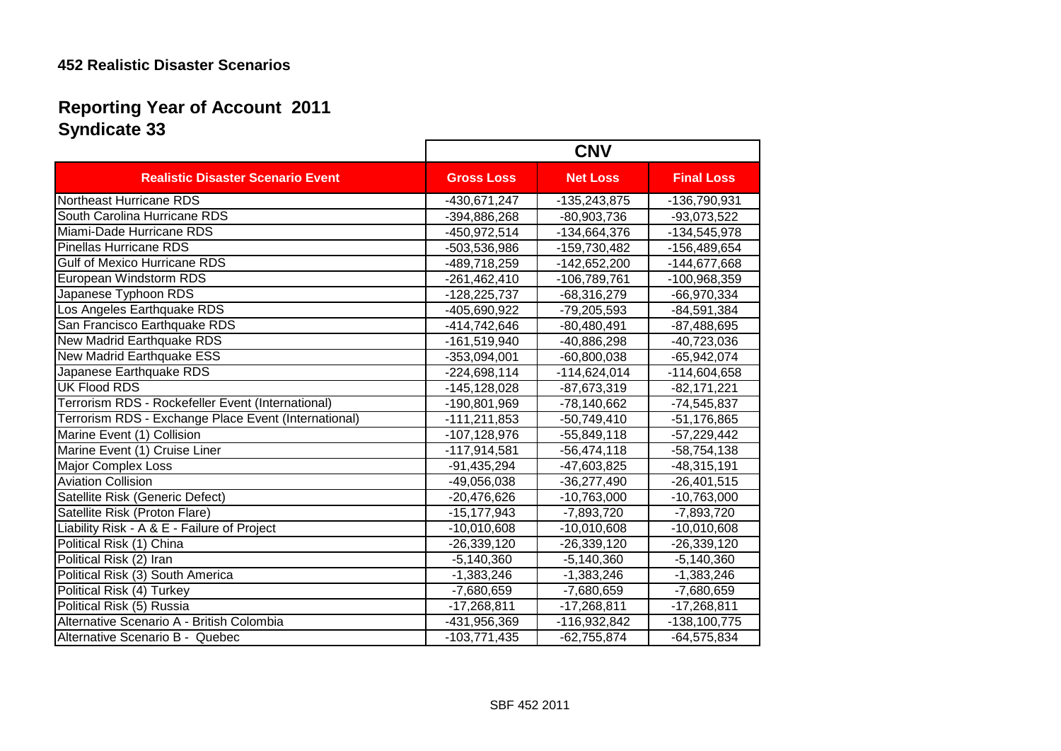## **Syndicate 33 Reporting Year of Account 2011**

|                                                      | <b>CNV</b>        |                 |                   |  |
|------------------------------------------------------|-------------------|-----------------|-------------------|--|
| <b>Realistic Disaster Scenario Event</b>             | <b>Gross Loss</b> | <b>Net Loss</b> | <b>Final Loss</b> |  |
| Northeast Hurricane RDS                              | -430,671,247      | -135,243,875    | -136,790,931      |  |
| South Carolina Hurricane RDS                         | -394,886,268      | -80,903,736     | -93,073,522       |  |
| Miami-Dade Hurricane RDS                             | -450,972,514      | -134,664,376    | -134,545,978      |  |
| <b>Pinellas Hurricane RDS</b>                        | -503,536,986      | -159,730,482    | -156,489,654      |  |
| <b>Gulf of Mexico Hurricane RDS</b>                  | -489,718,259      | $-142,652,200$  | -144,677,668      |  |
| European Windstorm RDS                               | $-261,462,410$    | -106,789,761    | -100,968,359      |  |
| Japanese Typhoon RDS                                 | $-128,225,737$    | $-68,316,279$   | -66,970,334       |  |
| Los Angeles Earthquake RDS                           | -405,690,922      | $-79,205,593$   | $-84,591,384$     |  |
| San Francisco Earthquake RDS                         | -414,742,646      | $-80,480,491$   | $-87,488,695$     |  |
| <b>New Madrid Earthquake RDS</b>                     | -161,519,940      | $-40,886,298$   | -40,723,036       |  |
| New Madrid Earthquake ESS                            | $-353,094,001$    | $-60,800,038$   | $-65,942,074$     |  |
| Japanese Earthquake RDS                              | $-224,698,114$    | $-114,624,014$  | -114,604,658      |  |
| <b>UK Flood RDS</b>                                  | $-145, 128, 028$  | $-87,673,319$   | $-82, 171, 221$   |  |
| Terrorism RDS - Rockefeller Event (International)    | -190,801,969      | $-78,140,662$   | -74,545,837       |  |
| Terrorism RDS - Exchange Place Event (International) | $-111,211,853$    | $-50,749,410$   | $-51,176,865$     |  |
| Marine Event (1) Collision                           | -107,128,976      | $-55,849,118$   | $-57,229,442$     |  |
| Marine Event (1) Cruise Liner                        | -117,914,581      | $-56,474,118$   | -58,754,138       |  |
| <b>Major Complex Loss</b>                            | $-91,435,294$     | -47,603,825     | $-48,315,191$     |  |
| <b>Aviation Collision</b>                            | -49,056,038       | $-36,277,490$   | $-26,401,515$     |  |
| Satellite Risk (Generic Defect)                      | $-20,476,626$     | $-10,763,000$   | $-10,763,000$     |  |
| Satellite Risk (Proton Flare)                        | $-15, 177, 943$   | $-7,893,720$    | $-7,893,720$      |  |
| Liability Risk - A & E - Failure of Project          | $-10,010,608$     | $-10,010,608$   | $-10,010,608$     |  |
| Political Risk (1) China                             | $-26,339,120$     | $-26,339,120$   | $-26,339,120$     |  |
| Political Risk (2) Iran                              | $-5,140,360$      | $-5,140,360$    | $-5,140,360$      |  |
| Political Risk (3) South America                     | $-1,383,246$      | $-1,383,246$    | $-1,383,246$      |  |
| Political Risk (4) Turkey                            | $-7,680,659$      | $-7,680,659$    | $-7,680,659$      |  |
| Political Risk (5) Russia                            | $-17,268,811$     | $-17,268,811$   | $-17,268,811$     |  |
| Alternative Scenario A - British Colombia            | -431,956,369      | -116,932,842    | -138,100,775      |  |
| Alternative Scenario B - Quebec                      | $-103,771,435$    | $-62,755,874$   | $-64,575,834$     |  |